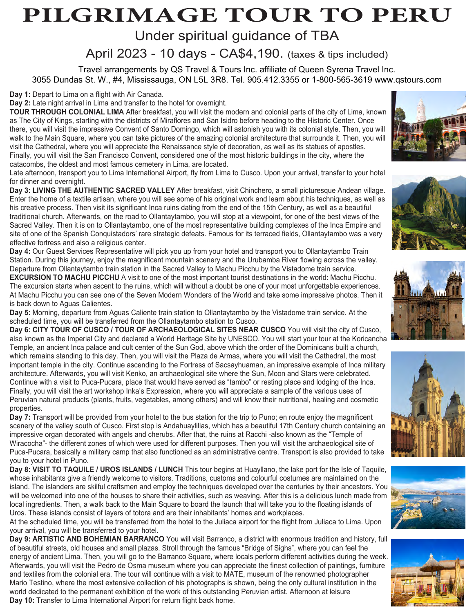# **PILGRIMAGE TOUR TO PERU**

Under spiritual guidance of TBA

April 2023 - 10 days - CA\$4,190. (taxes & tips included)

Travel arrangements by QS Travel & Tours Inc. affiliate of Queen Syrena Travel Inc. 3055 Dundas St. W., #4, Mississauga, ON L5L 3R8. Tel. 905.412.3355 or 1-800-565-3619 www.qstours.com

**Day 1:** Depart to Lima on a flight with Air Canada.

**Day 2:** Late night arrival in Lima and transfer to the hotel for overnight.

**TOUR THROUGH COLONIAL LIMA** After breakfast, you will visit the modern and colonial parts of the city of Lima, known as The City of Kings, starting with the districts of Miraflores and San Isidro before heading to the Historic Center. Once there, you will visit the impressive Convent of Santo Domingo, which will astonish you with its colonial style. Then, you will walk to the Main Square, where you can take pictures of the amazing colonial architecture that surrounds it. Then, you will visit the Cathedral, where you will appreciate the Renaissance style of decoration, as well as its statues of apostles. Finally, you will visit the San Francisco Convent, considered one of the most historic buildings in the city, where the catacombs, the oldest and most famous cemetery in Lima, are located.

Late afternoon, transport you to Lima International Airport, fly from Lima to Cusco. Upon your arrival, transfer to your hotel for dinner and overnight.

**Day 3: LIVING THE AUTHENTIC SACRED VALLEY** After breakfast, visit Chinchero, a small picturesque Andean village. Enter the home of a textile artisan, where you will see some of his original work and learn about his techniques, as well as his creative process. Then visit its significant Inca ruins dating from the end of the 15th Century, as well as a beautiful traditional church. Afterwards, on the road to Ollantaytambo, you will stop at a viewpoint, for one of the best views of the Sacred Valley. Then it is on to Ollantaytambo, one of the most representative building complexes of the Inca Empire and site of one of the Spanish Conquistadors' rare strategic defeats. Famous for its terraced fields, Ollantaytambo was a very effective fortress and also a religious center.

**Day 4:** Our Guest Services Representative will pick you up from your hotel and transport you to Ollantaytambo Train Station. During this journey, enjoy the magnificent mountain scenery and the Urubamba River flowing across the valley. Departure from Ollantaytambo train station in the Sacred Valley to Machu Picchu by the Vistadome train service.

**EXCURSION TO MACHU PICCHU** A visit to one of the most important tourist destinations in the world: Machu Picchu. The excursion starts when ascent to the ruins, which will without a doubt be one of your most unforgettable experiences. At Machu Picchu you can see one of the Seven Modern Wonders of the World and take some impressive photos. Then it is back down to Aguas Calientes.

**Day 5:** Morning, departure from Aguas Caliente train station to Ollantaytambo by the Vistadome train service. At the scheduled time, you will be transferred from the Ollantaytambo station to Cusco.

**Day 6: CITY TOUR OF CUSCO / TOUR OF ARCHAEOLOGICAL SITES NEAR CUSCO** You will visit the city of Cusco, also known as the Imperial City and declared a World Heritage Site by UNESCO. You will start your tour at the Koricancha Temple, an ancient Inca palace and cult center of the Sun God, above which the order of the Dominicans built a church, which remains standing to this day. Then, you will visit the Plaza de Armas, where you will visit the Cathedral, the most important temple in the city. Continue ascending to the Fortress of Sacsayhuaman, an impressive example of Inca military architecture. Afterwards, you will visit Kenko, an archaeological site where the Sun, Moon and Stars were celebrated. Continue with a visit to Puca-Pucara, place that would have served as "tambo" or resting place and lodging of the Inca. Finally, you will visit the art workshop Inka's Expression, where you will appreciate a sample of the various uses of Peruvian natural products (plants, fruits, vegetables, among others) and will know their nutritional, healing and cosmetic properties.

**Day 7:** Transport will be provided from your hotel to the bus station for the trip to Puno; en route enjoy the magnificent scenery of the valley south of Cusco. First stop is Andahuaylillas, which has a beautiful 17th Century church containing an impressive organ decorated with angels and cherubs. After that, the ruins at Racchi -also known as the "Temple of Wiracocha"- the different zones of which were used for different purposes. Then you will visit the archaeological site of Puca-Pucara, basically a military camp that also functioned as an administrative centre. Transport is also provided to take you to your hotel in Puno.

**Day 8: VISIT TO TAQUILE / UROS ISLANDS / LUNCH** This tour begins at Huayllano, the lake port for the Isle of Taquile, whose inhabitants give a friendly welcome to visitors. Traditions, customs and colourful costumes are maintained on the island. The islanders are skilful craftsmen and employ the techniques developed over the centuries by their ancestors. You will be welcomed into one of the houses to share their activities, such as weaving. After this is a delicious lunch made from local ingredients. Then, a walk back to the Main Square to board the launch that will take you to the floating islands of Uros. These islands consist of layers of totora and are their inhabitants' homes and workplaces.

At the scheduled time, you will be transferred from the hotel to the Juliaca airport for the flight from Juliaca to Lima. Upon your arrival, you will be transferred to your hotel.

**Day 9: ARTISTIC AND BOHEMIAN BARRANCO** You will visit Barranco, a district with enormous tradition and history, full of beautiful streets, old houses and small plazas. Stroll through the famous "Bridge of Sighs", where you can feel the energy of ancient Lima. Then, you will go to the Barranco Square, where locals perform different activities during the week. Afterwards, you will visit the Pedro de Osma museum where you can appreciate the finest collection of paintings, furniture and textiles from the colonial era. The tour will continue with a visit to MATE, museum of the renowned photographer Mario Testino, where the most extensive collection of his photographs is shown, being the only cultural institution in the world dedicated to the permanent exhibition of the work of this outstanding Peruvian artist. Afternoon at leisure **Day 10:** Transfer to Lima International Airport for return flight back home.